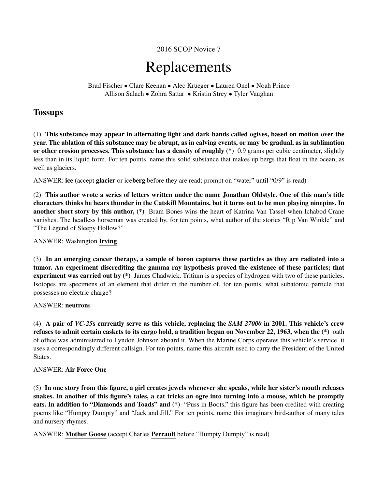2016 SCOP Novice 7

# Replacements

Brad Fischer • Clare Keenan • Alec Krueger • Lauren Onel • Noah Prince Allison Salach • Zohra Sattar • Kristin Strey • Tyler Vaughan

# **Tossups**

(1) This substance may appear in alternating light and dark bands called ogives, based on motion over the year. The ablation of this substance may be abrupt, as in calving events, or may be gradual, as in sublimation or other erosion processes. This substance has a density of roughly  $(*)$  0.9 grams per cubic centimeter, slightly less than in its liquid form. For ten points, name this solid substance that makes up bergs that float in the ocean, as well as glaciers.

ANSWER: ice (accept glacier or iceberg before they are read; prompt on "water" until "0/9" is read)

(2) This author wrote a series of letters written under the name Jonathan Oldstyle. One of this man's title characters thinks he hears thunder in the Catskill Mountains, but it turns out to be men playing ninepins. In another short story by this author, (\*) Bram Bones wins the heart of Katrina Van Tassel when Ichabod Crane vanishes. The headless horseman was created by, for ten points, what author of the stories "Rip Van Winkle" and "The Legend of Sleepy Hollow?"

# ANSWER: Washington Irving

(3) In an emerging cancer therapy, a sample of boron captures these particles as they are radiated into a tumor. An experiment discrediting the gamma ray hypothesis proved the existence of these particles; that experiment was carried out by  $(*)$  James Chadwick. Tritium is a species of hydrogen with two of these particles. Isotopes are specimens of an element that differ in the number of, for ten points, what subatomic particle that possesses no electric charge?

# ANSWER: neutrons

(4) A pair of *VC-25*s currently serve as this vehicle, replacing the *SAM 27000* in 2001. This vehicle's crew refuses to admit certain caskets to its cargo hold, a tradition begun on November 22, 1963, when the (\*) oath of office was administered to Lyndon Johnson aboard it. When the Marine Corps operates this vehicle's service, it uses a correspondingly different callsign. For ten points, name this aircraft used to carry the President of the United States.

# ANSWER: Air Force One

(5) In one story from this figure, a girl creates jewels whenever she speaks, while her sister's mouth releases snakes. In another of this figure's tales, a cat tricks an ogre into turning into a mouse, which he promptly eats. In addition to "Diamonds and Toads" and (\*) "Puss in Boots," this figure has been credited with creating poems like "Humpty Dumpty" and "Jack and Jill." For ten points, name this imaginary bird-author of many tales and nursery rhymes.

ANSWER: Mother Goose (accept Charles Perrault before "Humpty Dumpty" is read)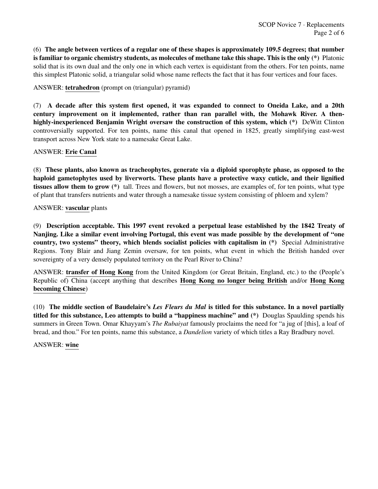(6) The angle between vertices of a regular one of these shapes is approximately 109.5 degrees; that number is familiar to organic chemistry students, as molecules of methane take this shape. This is the only (\*) Platonic solid that is its own dual and the only one in which each vertex is equidistant from the others. For ten points, name this simplest Platonic solid, a triangular solid whose name reflects the fact that it has four vertices and four faces.

ANSWER: tetrahedron (prompt on (triangular) pyramid)

(7) A decade after this system first opened, it was expanded to connect to Oneida Lake, and a 20th century improvement on it implemented, rather than ran parallel with, the Mohawk River. A thenhighly-inexperienced Benjamin Wright oversaw the construction of this system, which (\*) DeWitt Clinton controversially supported. For ten points, name this canal that opened in 1825, greatly simplifying east-west transport across New York state to a namesake Great Lake.

# ANSWER: Erie Canal

(8) These plants, also known as tracheophytes, generate via a diploid sporophyte phase, as opposed to the haploid gametophytes used by liverworts. These plants have a protective waxy cuticle, and their lignified tissues allow them to grow (\*) tall. Trees and flowers, but not mosses, are examples of, for ten points, what type of plant that transfers nutrients and water through a namesake tissue system consisting of phloem and xylem?

#### ANSWER: vascular plants

(9) Description acceptable. This 1997 event revoked a perpetual lease established by the 1842 Treaty of Nanjing. Like a similar event involving Portugal, this event was made possible by the development of "one country, two systems" theory, which blends socialist policies with capitalism in (\*) Special Administrative Regions. Tony Blair and Jiang Zemin oversaw, for ten points, what event in which the British handed over sovereignty of a very densely populated territory on the Pearl River to China?

ANSWER: transfer of Hong Kong from the United Kingdom (or Great Britain, England, etc.) to the (People's Republic of) China (accept anything that describes Hong Kong no longer being British and/or Hong Kong becoming Chinese)

(10) The middle section of Baudelaire's *Les Fleurs du Mal* is titled for this substance. In a novel partially titled for this substance, Leo attempts to build a "happiness machine" and (\*) Douglas Spaulding spends his summers in Green Town. Omar Khayyam's *The Rubaiyat* famously proclaims the need for "a jug of [this], a loaf of bread, and thou." For ten points, name this substance, a *Dandelion* variety of which titles a Ray Bradbury novel.

ANSWER: wine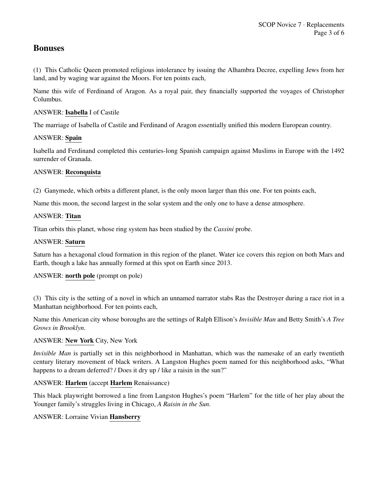# Bonuses

(1) This Catholic Queen promoted religious intolerance by issuing the Alhambra Decree, expelling Jews from her land, and by waging war against the Moors. For ten points each,

Name this wife of Ferdinand of Aragon. As a royal pair, they financially supported the voyages of Christopher Columbus.

# ANSWER: Isabella I of Castile

The marriage of Isabella of Castile and Ferdinand of Aragon essentially unified this modern European country.

# ANSWER: Spain

Isabella and Ferdinand completed this centuries-long Spanish campaign against Muslims in Europe with the 1492 surrender of Granada.

# ANSWER: Reconquista

(2) Ganymede, which orbits a different planet, is the only moon larger than this one. For ten points each,

Name this moon, the second largest in the solar system and the only one to have a dense atmosphere.

# ANSWER: Titan

Titan orbits this planet, whose ring system has been studied by the *Cassini* probe.

### ANSWER: Saturn

Saturn has a hexagonal cloud formation in this region of the planet. Water ice covers this region on both Mars and Earth, though a lake has annually formed at this spot on Earth since 2013.

# ANSWER: north pole (prompt on pole)

(3) This city is the setting of a novel in which an unnamed narrator stabs Ras the Destroyer during a race riot in a Manhattan neighborhood. For ten points each,

Name this American city whose boroughs are the settings of Ralph Ellison's *Invisible Man* and Betty Smith's *A Tree Grows in Brooklyn*.

#### ANSWER: New York City, New York

*Invisible Man* is partially set in this neighborhood in Manhattan, which was the namesake of an early twentieth century literary movement of black writers. A Langston Hughes poem named for this neighborhood asks, "What happens to a dream deferred? / Does it dry up / like a raisin in the sun?"

#### ANSWER: Harlem (accept Harlem Renaissance)

This black playwright borrowed a line from Langston Hughes's poem "Harlem" for the title of her play about the Younger family's struggles living in Chicago, *A Raisin in the Sun*.

#### ANSWER: Lorraine Vivian Hansberry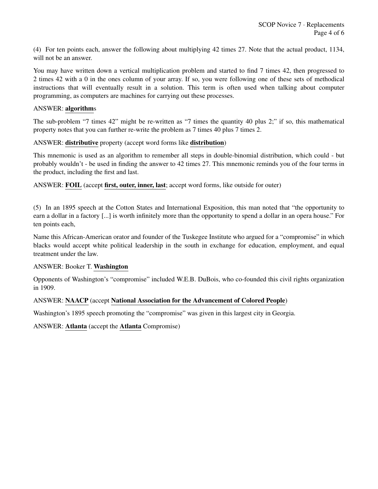(4) For ten points each, answer the following about multiplying 42 times 27. Note that the actual product, 1134, will not be an answer.

You may have written down a vertical multiplication problem and started to find 7 times 42, then progressed to 2 times 42 with a 0 in the ones column of your array. If so, you were following one of these sets of methodical instructions that will eventually result in a solution. This term is often used when talking about computer programming, as computers are machines for carrying out these processes.

#### ANSWER: algorithms

The sub-problem "7 times 42" might be re-written as "7 times the quantity 40 plus 2;" if so, this mathematical property notes that you can further re-write the problem as 7 times 40 plus 7 times 2.

#### ANSWER: distributive property (accept word forms like distribution)

This mnemonic is used as an algorithm to remember all steps in double-binomial distribution, which could - but probably wouldn't - be used in finding the answer to 42 times 27. This mnemonic reminds you of the four terms in the product, including the first and last.

ANSWER: FOIL (accept first, outer, inner, last; accept word forms, like outside for outer)

(5) In an 1895 speech at the Cotton States and International Exposition, this man noted that "the opportunity to earn a dollar in a factory [...] is worth infinitely more than the opportunity to spend a dollar in an opera house." For ten points each,

Name this African-American orator and founder of the Tuskegee Institute who argued for a "compromise" in which blacks would accept white political leadership in the south in exchange for education, employment, and equal treatment under the law.

#### ANSWER: Booker T. Washington

Opponents of Washington's "compromise" included W.E.B. DuBois, who co-founded this civil rights organization in 1909.

#### ANSWER: NAACP (accept National Association for the Advancement of Colored People)

Washington's 1895 speech promoting the "compromise" was given in this largest city in Georgia.

ANSWER: Atlanta (accept the Atlanta Compromise)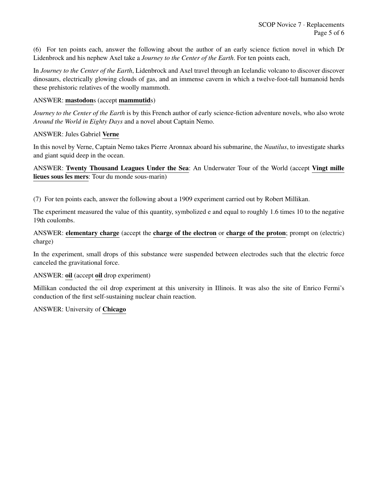(6) For ten points each, answer the following about the author of an early science fiction novel in which Dr Lidenbrock and his nephew Axel take a *Journey to the Center of the Earth*. For ten points each,

In *Journey to the Center of the Earth*, Lidenbrock and Axel travel through an Icelandic volcano to discover discover dinosaurs, electrically glowing clouds of gas, and an immense cavern in which a twelve-foot-tall humanoid herds these prehistoric relatives of the woolly mammoth.

#### ANSWER: mastodons (accept mammutids)

*Journey to the Center of the Earth* is by this French author of early science-fiction adventure novels, who also wrote *Around the World in Eighty Days* and a novel about Captain Nemo.

#### ANSWER: Jules Gabriel Verne

In this novel by Verne, Captain Nemo takes Pierre Aronnax aboard his submarine, the *Nautilus*, to investigate sharks and giant squid deep in the ocean.

ANSWER: Twenty Thousand Leagues Under the Sea: An Underwater Tour of the World (accept Vingt mille lieues sous les mers: Tour du monde sous-marin)

(7) For ten points each, answer the following about a 1909 experiment carried out by Robert Millikan.

The experiment measured the value of this quantity, symbolized e and equal to roughly 1.6 times 10 to the negative 19th coulombs.

ANSWER: elementary charge (accept the charge of the electron or charge of the proton; prompt on (electric) charge)

In the experiment, small drops of this substance were suspended between electrodes such that the electric force canceled the gravitational force.

#### ANSWER: oil (accept oil drop experiment)

Millikan conducted the oil drop experiment at this university in Illinois. It was also the site of Enrico Fermi's conduction of the first self-sustaining nuclear chain reaction.

#### ANSWER: University of Chicago